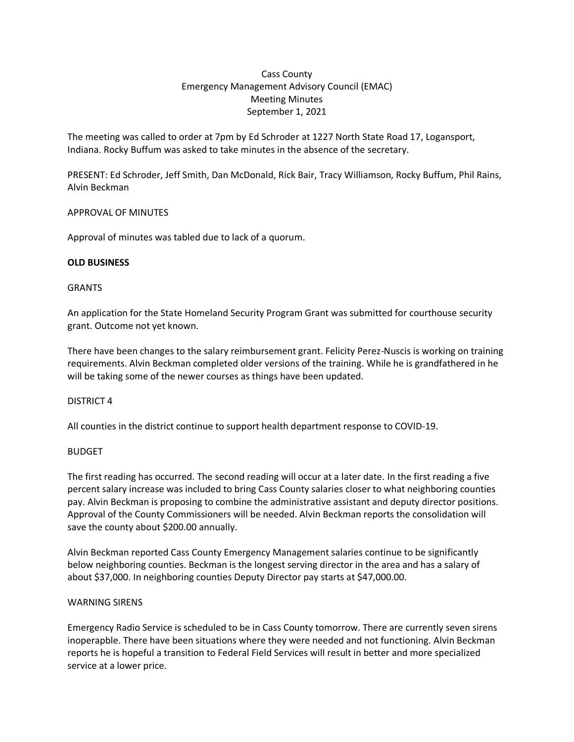# Cass County Emergency Management Advisory Council (EMAC) Meeting Minutes September 1, 2021

The meeting was called to order at 7pm by Ed Schroder at 1227 North State Road 17, Logansport, Indiana. Rocky Buffum was asked to take minutes in the absence of the secretary.

PRESENT: Ed Schroder, Jeff Smith, Dan McDonald, Rick Bair, Tracy Williamson, Rocky Buffum, Phil Rains, Alvin Beckman

## APPROVAL OF MINUTES

Approval of minutes was tabled due to lack of a quorum.

## **OLD BUSINESS**

## **GRANTS**

An application for the State Homeland Security Program Grant was submitted for courthouse security grant. Outcome not yet known.

There have been changes to the salary reimbursement grant. Felicity Perez-Nuscis is working on training requirements. Alvin Beckman completed older versions of the training. While he is grandfathered in he will be taking some of the newer courses as things have been updated.

# DISTRICT 4

All counties in the district continue to support health department response to COVID-19.

# BUDGET

The first reading has occurred. The second reading will occur at a later date. In the first reading a five percent salary increase was included to bring Cass County salaries closer to what neighboring counties pay. Alvin Beckman is proposing to combine the administrative assistant and deputy director positions. Approval of the County Commissioners will be needed. Alvin Beckman reports the consolidation will save the county about \$200.00 annually.

Alvin Beckman reported Cass County Emergency Management salaries continue to be significantly below neighboring counties. Beckman is the longest serving director in the area and has a salary of about \$37,000. In neighboring counties Deputy Director pay starts at \$47,000.00.

## WARNING SIRENS

Emergency Radio Service is scheduled to be in Cass County tomorrow. There are currently seven sirens inoperapble. There have been situations where they were needed and not functioning. Alvin Beckman reports he is hopeful a transition to Federal Field Services will result in better and more specialized service at a lower price.